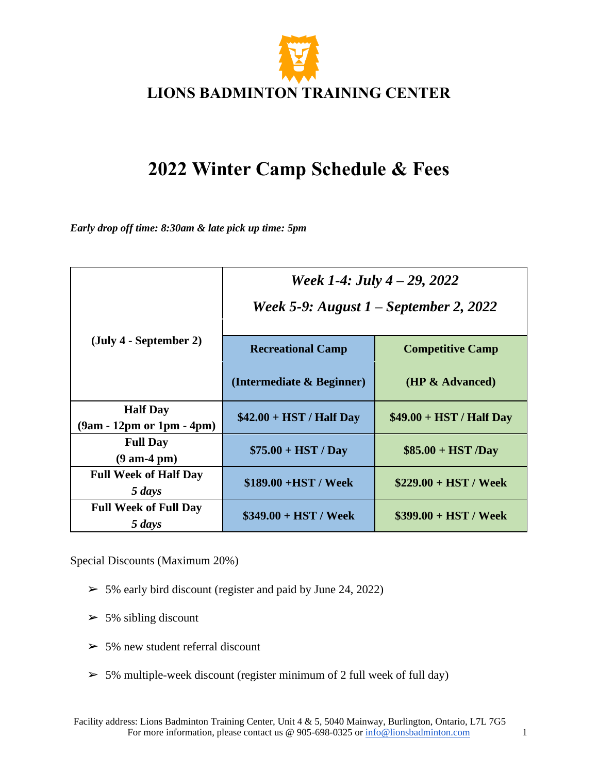

# **2022 Winter Camp Schedule & Fees**

*Early drop off time: 8:30am & late pick up time: 5pm*

|                                                  | Week 1-4: July $4 - 29$ , 2022<br>Week 5-9: August $1$ – September 2, 2022 |                           |
|--------------------------------------------------|----------------------------------------------------------------------------|---------------------------|
| $(\text{July } 4 - \text{September } 2)$         | <b>Recreational Camp</b>                                                   | <b>Competitive Camp</b>   |
|                                                  | (Intermediate & Beginner)                                                  | (HP & Advanced)           |
| <b>Half Day</b><br>$(9am - 12pm or 1pm - 4pm)$   | $$42.00 + HST / Half Day$                                                  | $$49.00 + HST / Half Day$ |
| <b>Full Day</b><br>$(9 \text{ am-}4 \text{ pm})$ | $$75.00 + HST / Day$                                                       | $$85.00 + HST/Day$        |
| <b>Full Week of Half Day</b><br>5 days           | $$189.00 + HST / Week$                                                     | $$229.00 + HST / Week$    |
| <b>Full Week of Full Day</b><br>5 days           | $$349.00 + HST / Week$                                                     | $$399.00 + HST / Week$    |

Special Discounts (Maximum 20%)

- $>$  5% early bird discount (register and paid by June 24, 2022)
- $>$  5% sibling discount
- $>$  5% new student referral discount
- $\geq$  5% multiple-week discount (register minimum of 2 full week of full day)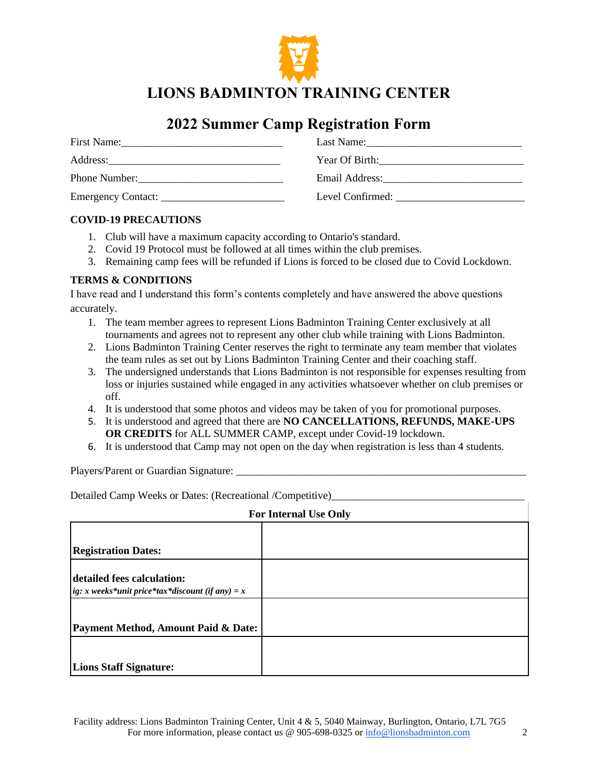

**LIONS BADMINTON TRAINING CENTER**

### **2022 Summer Camp Registration Form**

| First Name:   | Last Name:       |
|---------------|------------------|
|               | $Year$ Of Birth: |
| Phone Number: | Email Address:   |
|               | Level Confirmed: |

#### **COVID-19 PRECAUTIONS**

- 1. Club will have a maximum capacity according to Ontario's standard.
- 2. Covid 19 Protocol must be followed at all times within the club premises.
- 3. Remaining camp fees will be refunded if Lions is forced to be closed due to Covid Lockdown.

#### **TERMS & CONDITIONS**

I have read and I understand this form's contents completely and have answered the above questions accurately.

- 1. The team member agrees to represent Lions Badminton Training Center exclusively at all tournaments and agrees not to represent any other club while training with Lions Badminton.
- 2. Lions Badminton Training Center reserves the right to terminate any team member that violates the team rules as set out by Lions Badminton Training Center and their coaching staff.
- 3. The undersigned understands that Lions Badminton is not responsible for expenses resulting from loss or injuries sustained while engaged in any activities whatsoever whether on club premises or off.
- 4. It is understood that some photos and videos may be taken of you for promotional purposes.
- 5. It is understood and agreed that there are **NO CANCELLATIONS, REFUNDS, MAKE-UPS OR CREDITS** for ALL SUMMER CAMP, except under Covid-19 lockdown.
- 6. It is understood that Camp may not open on the day when registration is less than 4 students.

Players/Parent or Guardian Signature:

Detailed Camp Weeks or Dates: (Recreational /Competitive)

| <b>For Internal Use Only</b>                                                   |  |  |
|--------------------------------------------------------------------------------|--|--|
|                                                                                |  |  |
| <b>Registration Dates:</b>                                                     |  |  |
| detailed fees calculation:<br>ig: x weeks*unit price*tax*discount (if any) = x |  |  |
|                                                                                |  |  |
| Payment Method, Amount Paid & Date:                                            |  |  |
|                                                                                |  |  |
| <b>Lions Staff Signature:</b>                                                  |  |  |